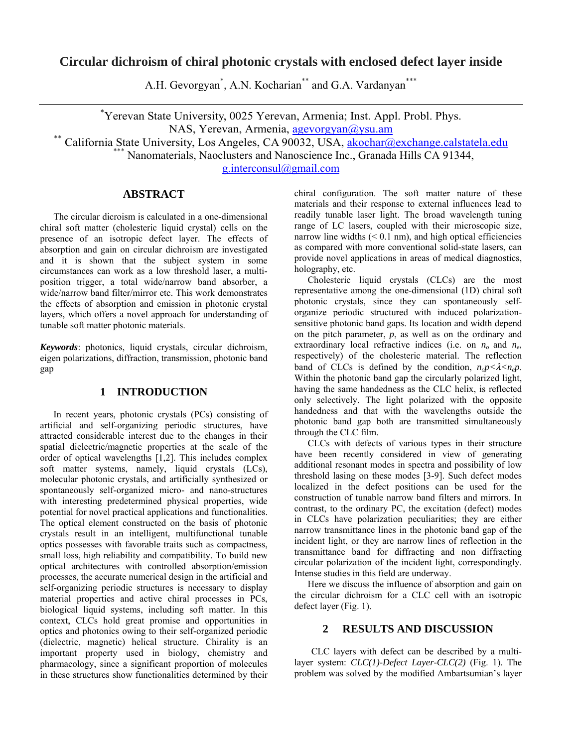## **Circular dichroism of chiral photonic crystals with enclosed defect layer inside**

A.H. Gevorgyan<sup>\*</sup>, A.N. Kocharian<sup>\*\*</sup> and G.A. Vardanyan<sup>\*\*\*</sup>

\* Yerevan State University, 0025 Yerevan, Armenia; Inst. Appl. Probl. Phys. NAS, Yerevan, Armenia, agevorgyan@ysu.am<br>
\*\* California State University, Los Angeles, CA 90032, USA, akochar@exchange.calstatela.edu<br>
\*\*\* Nanomaterials, Naoclusters and Nanoscience Inc., Granada Hills CA 91344,

g.interconsul@gmail.com

## **ABSTRACT**

The circular dicroism is calculated in a one-dimensional chiral soft matter (cholesteric liquid crystal) cells on the presence of an isotropic defect layer. The effects of absorption and gain on circular dichroism are investigated and it is shown that the subject system in some circumstances can work as a low threshold laser, a multiposition trigger, a total wide/narrow band absorber, a wide/narrow band filter/mirror etc. This work demonstrates the effects of absorption and emission in photonic crystal layers, which offers a novel approach for understanding of tunable soft matter photonic materials.

*Keywords*: photonics, liquid crystals, circular dichroism, eigen polarizations, diffraction, transmission, photonic band gap

### **1 INTRODUCTION**

In recent years, photonic crystals (PCs) consisting of artificial and self-organizing periodic structures, have attracted considerable interest due to the changes in their spatial dielectric/magnetic properties at the scale of the order of optical wavelengths [1,2]. This includes complex soft matter systems, namely, liquid crystals (LCs), molecular photonic crystals, and artificially synthesized or spontaneously self-organized micro- and nano-structures with interesting predetermined physical properties, wide potential for novel practical applications and functionalities. The optical element constructed on the basis of photonic crystals result in an intelligent, multifunctional tunable optics possesses with favorable traits such as compactness, small loss, high reliability and compatibility. To build new optical architectures with controlled absorption/emission processes, the accurate numerical design in the artificial and self-organizing periodic structures is necessary to display material properties and active chiral processes in PCs, biological liquid systems, including soft matter. In this context, CLCs hold great promise and opportunities in optics and photonics owing to their self-organized periodic (dielectric, magnetic) helical structure. Chirality is an important property used in biology, chemistry and pharmacology, since a significant proportion of molecules in these structures show functionalities determined by their chiral configuration. The soft matter nature of these materials and their response to external influences lead to readily tunable laser light. The broad wavelength tuning range of LC lasers, coupled with their microscopic size, narrow line widths  $( $0.1 \text{ nm}$ ), and high optical efficiencies$ as compared with more conventional solid-state lasers, can provide novel applications in areas of medical diagnostics, holography, etc.

Cholesteric liquid crystals (CLCs) are the most representative among the one-dimensional (1D) chiral soft photonic crystals, since they can spontaneously selforganize periodic structured with induced polarizationsensitive photonic band gaps. Its location and width depend on the pitch parameter, *p*, as well as on the ordinary and extraordinary local refractive indices (i.e. on  $n<sub>o</sub>$  and  $n<sub>e</sub>$ , respectively) of the cholesteric material. The reflection band of CLCs is defined by the condition,  $n_0 p < \lambda < n_0 p$ . Within the photonic band gap the circularly polarized light, having the same handedness as the CLC helix, is reflected only selectively. The light polarized with the opposite handedness and that with the wavelengths outside the photonic band gap both are transmitted simultaneously through the CLC film.

CLCs with defects of various types in their structure have been recently considered in view of generating additional resonant modes in spectra and possibility of low threshold lasing on these modes [3-9]. Such defect modes localized in the defect positions can be used for the construction of tunable narrow band filters and mirrors. In contrast, to the ordinary PC, the excitation (defect) modes in CLCs have polarization peculiarities; they are either narrow transmittance lines in the photonic band gap of the incident light, or they are narrow lines of reflection in the transmittance band for diffracting and non diffracting circular polarization of the incident light, correspondingly. Intense studies in this field are underway.

Here we discuss the influence of absorption and gain on the circular dichroism for a CLC cell with an isotropic defect layer (Fig. 1).

#### **2 RESULTS AND DISCUSSION**

CLC layers with defect can be described by a multilayer system: *CLC(1)-Defect Layer-CLC(2)* (Fig. 1). The problem was solved by the modified Ambartsumian's layer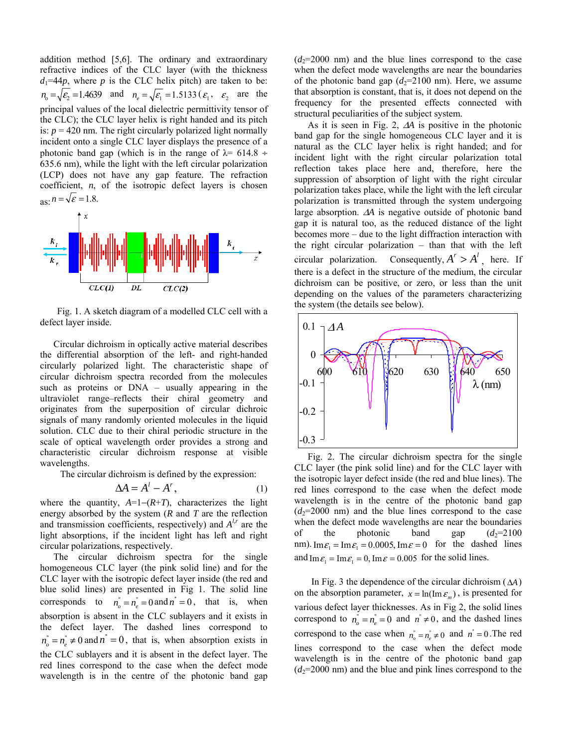addition method [5,6]. The ordinary and extraordinary refractive indices of the CLC layer (with the thickness  $d_1=44p$ , where p is the CLC helix pitch) are taken to be:  $n_{o} = \sqrt{\varepsilon_2} = 1.4639$  and  $n_{e} = \sqrt{\varepsilon_1} = 1.5133 \ (\varepsilon_1, \varepsilon_2)$  are the principal values of the local dielectric permittivity tensor of the CLC); the CLC layer helix is right handed and its pitch is:  $p = 420$  nm. The right circularly polarized light normally incident onto a single CLC layer displays the presence of a photonic band gap (which is in the range of  $\lambda$ = 614.8 ÷ 635.6 nm), while the light with the left circular polarization (LCP) does not have any gap feature. The refraction coefficient, *n*, of the isotropic defect layers is chosen  $aS: n = \sqrt{\varepsilon} = 1.8$ .



Fig. 1. A sketch diagram of a modelled CLC cell with a defect layer inside.

Circular dichroism in optically active material describes the differential absorption of the left- and right-handed circularly polarized light. The characteristic shape of circular dichroism spectra recorded from the molecules such as proteins or DNA – usually appearing in the ultraviolet range–reflects their chiral geometry and originates from the superposition of circular dichroic signals of many randomly oriented molecules in the liquid solution. CLC due to their chiral periodic structure in the scale of optical wavelength order provides a strong and characteristic circular dichroism response at visible wavelengths.

The circular dichroism is defined by the expression:

$$
\Delta A = A^l - A^r, \tag{1}
$$

where the quantity, *A*=1−(*R*+*T*), characterizes the light energy absorbed by the system (*R* and *T* are the reflection and transmission coefficients, respectively) and  $A^{l,r}$  are the light absorptions, if the incident light has left and right circular polarizations, respectively.

The circular dichroism spectra for the single homogeneous CLC layer (the pink solid line) and for the CLC layer with the isotropic defect layer inside (the red and blue solid lines) are presented in Fig 1. The solid line corresponds to  $n_{\rho} = n_{\rho} = 0$  and  $n = 0$ , that is, when absorption is absent in the CLC sublayers and it exists in the defect layer. The dashed lines correspond to  $n_{n}^{\prime} = n_{n}^{\prime} \neq 0$  and  $n^{\prime} = 0$ , that is, when absorption exists in the CLC sublayers and it is absent in the defect layer. The red lines correspond to the case when the defect mode wavelength is in the centre of the photonic band gap

 $(d_2=2000 \text{ nm})$  and the blue lines correspond to the case when the defect mode wavelengths are near the boundaries of the photonic band gap  $(d_2=2100 \text{ nm})$ . Here, we assume that absorption is constant, that is, it does not depend on the frequency for the presented effects connected with structural peculiarities of the subject system.

As it is seen in Fig. 2, Δ*A* is positive in the photonic band gap for the single homogeneous CLC layer and it is natural as the CLC layer helix is right handed; and for incident light with the right circular polarization total reflection takes place here and, therefore, here the suppression of absorption of light with the right circular polarization takes place, while the light with the left circular polarization is transmitted through the system undergoing large absorption. Δ*A* is negative outside of photonic band gap it is natural too, as the reduced distance of the light becomes more – due to the light diffraction interaction with the right circular polarization – than that with the left circular polarization. Consequently,  $A^r > A^l$ , here. If there is a defect in the structure of the medium, the circular dichroism can be positive, or zero, or less than the unit depending on the values of the parameters characterizing the system (the details see below).



Fig. 2. The circular dichroism spectra for the single CLC layer (the pink solid line) and for the CLC layer with the isotropic layer defect inside (the red and blue lines). The red lines correspond to the case when the defect mode wavelength is in the centre of the photonic band gap  $(d_2=2000)$  nm) and the blue lines correspond to the case when the defect mode wavelengths are near the boundaries of the photonic band gap  $(d_2=2100$ nm). Im  $\varepsilon_1 = \text{Im} \varepsilon_1 = 0.0005$ , Im  $\varepsilon = 0$  for the dashed lines and Im  $\varepsilon_1 = \text{Im} \varepsilon_1 = 0$ , Im  $\varepsilon = 0.005$  for the solid lines.

In Fig. 3 the dependence of the circular dichroism (Δ*A*) on the absorption parameter,  $x = ln(Im \varepsilon_m)$ , is presented for various defect layer thicknesses. As in Fig 2, the solid lines correspond to  $n_{o}^{n} = n_{e}^{n} = 0$  and  $n^{n} \neq 0$ , and the dashed lines correspond to the case when  $n_{\rho} = n_{\rho} \neq 0$  and  $n = 0$ . The red lines correspond to the case when the defect mode wavelength is in the centre of the photonic band gap  $(d_2=2000 \text{ nm})$  and the blue and pink lines correspond to the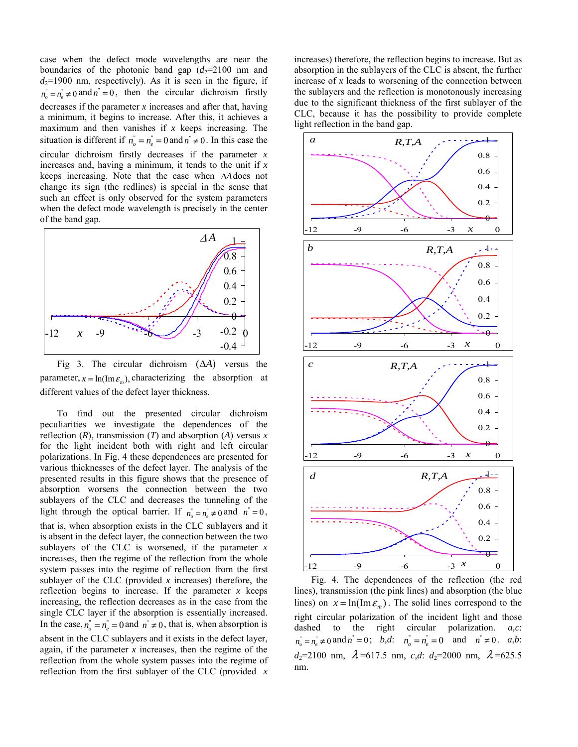case when the defect mode wavelengths are near the boundaries of the photonic band gap  $(d_2=2100 \text{ nm}$  and  $d_2$ =1900 nm, respectively). As it is seen in the figure, if  $n_{\rho}^{n} = n_{\rho}^{n} \neq 0$  and  $n^{n} = 0$ , then the circular dichroism firstly decreases if the parameter *x* increases and after that, having a minimum, it begins to increase. After this, it achieves a maximum and then vanishes if *x* keeps increasing. The situation is different if  $n_{o}^{n} = n_{e}^{n} = 0$  and  $n^{n} \neq 0$ . In this case the circular dichroism firstly decreases if the parameter *x*  increases and, having a minimum, it tends to the unit if *x*  keeps increasing. Note that the case when Δ*A*does not change its sign (the redlines) is special in the sense that such an effect is only observed for the system parameters when the defect mode wavelength is precisely in the center of the band gap.



Fig 3. The circular dichroism  $( \Delta A )$  versus the parameter,  $x = ln(Im \varepsilon_m)$ , *characterizing* the absorption at different values of the defect layer thickness.

To find out the presented circular dichroism peculiarities we investigate the dependences of the reflection  $(R)$ , transmission  $(T)$  and absorption  $(A)$  versus  $x$ for the light incident both with right and left circular polarizations. In Fig. 4 these dependences are presented for various thicknesses of the defect layer. The analysis of the presented results in this figure shows that the presence of absorption worsens the connection between the two sublayers of the CLC and decreases the tunneling of the light through the optical barrier. If  $n_{o}^{n} = n_{e}^{n} \neq 0$  and  $n^{n} = 0$ , that is, when absorption exists in the CLC sublayers and it is absent in the defect layer, the connection between the two sublayers of the CLC is worsened, if the parameter *x*  increases, then the regime of the reflection from the whole system passes into the regime of reflection from the first sublayer of the CLC (provided *x* increases) therefore, the reflection begins to increase. If the parameter  $x$  keeps increasing, the reflection decreases as in the case from the single CLC layer if the absorption is essentially increased. In the case,  $n_a = n_a = 0$  and  $n \neq 0$ , that is, when absorption is absent in the CLC sublayers and it exists in the defect layer, again, if the parameter *x* increases, then the regime of the reflection from the whole system passes into the regime of reflection from the first sublayer of the CLC (provided *x* 

increases) therefore, the reflection begins to increase. But as absorption in the sublayers of the CLC is absent, the further increase of *x* leads to worsening of the connection between the sublayers and the reflection is monotonously increasing due to the significant thickness of the first sublayer of the CLC, because it has the possibility to provide complete light reflection in the band gap.



Fig. 4. The dependences of the reflection (the red lines), transmission (the pink lines) and absorption (the blue lines) on  $x = \ln(\text{Im } \varepsilon_m)$ . The solid lines correspond to the right circular polarization of the incident light and those dashed to the right circular polarization. *a,c*:  $n_{o}^{*} = n_{e}^{*} \neq 0$  and  $n^{*} = 0$ ; *b,d*:  $n_{o}^{*} = n_{e}^{*} = 0$  and  $n^{*} \neq 0$ . *a,b*:  $d_2=2100$  nm,  $\lambda = 617.5$  nm, *c,d*:  $d_2=2000$  nm,  $\lambda = 625.5$ nm.